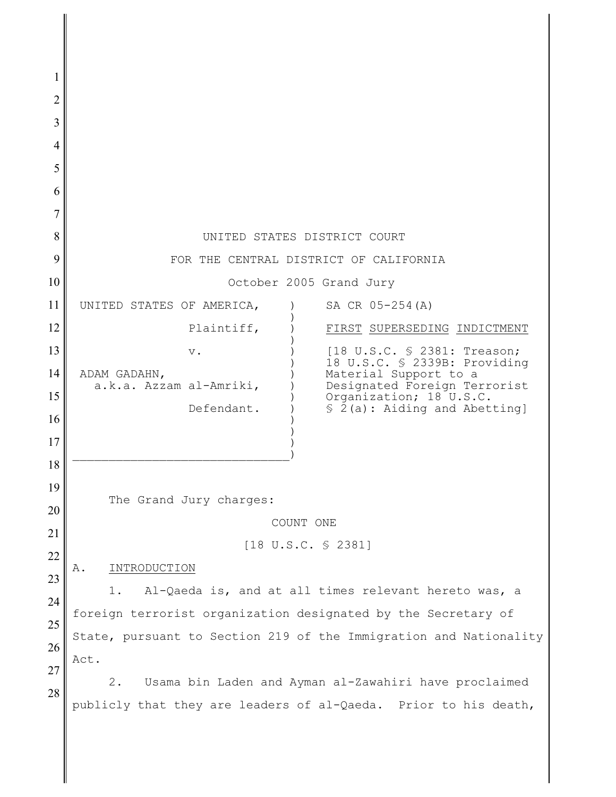| 2  |                                                                   |                                                                                           |
|----|-------------------------------------------------------------------|-------------------------------------------------------------------------------------------|
| 3  |                                                                   |                                                                                           |
| 4  |                                                                   |                                                                                           |
| 5  |                                                                   |                                                                                           |
| 6  |                                                                   |                                                                                           |
|    |                                                                   |                                                                                           |
| 8  | UNITED STATES DISTRICT COURT                                      |                                                                                           |
| 9  | FOR THE CENTRAL DISTRICT OF CALIFORNIA                            |                                                                                           |
| 10 | October 2005 Grand Jury                                           |                                                                                           |
| 11 | UNITED STATES OF AMERICA,                                         | SA CR 05-254(A)                                                                           |
| 12 | Plaintiff,                                                        | FIRST SUPERSEDING INDICTMENT                                                              |
| 13 | $V$ .                                                             | [18 U.S.C. § 2381: Treason;                                                               |
| 14 | ADAM GADAHN,                                                      | 18 U.S.C. § 2339B: Providing<br>Material Support to a                                     |
| 15 | a.k.a. Azzam al-Amriki,<br>Defendant.                             | Designated Foreign Terrorist<br>Organization; 18 U.S.C.<br>$$ 2(a):$ Aiding and Abetting] |
| 16 |                                                                   |                                                                                           |
| 17 |                                                                   |                                                                                           |
| 18 |                                                                   |                                                                                           |
| 19 | The Grand Jury charges:                                           |                                                                                           |
| 20 |                                                                   |                                                                                           |
| 21 | COUNT ONE                                                         |                                                                                           |
| 22 | $[18 \text{ U.S.C. } $2381]$                                      |                                                                                           |
| 23 | INTRODUCTION<br>Α.                                                |                                                                                           |
| 24 | Al-Qaeda is, and at all times relevant hereto was, a<br>1.        |                                                                                           |
| 25 | foreign terrorist organization designated by the Secretary of     |                                                                                           |
| 26 | State, pursuant to Section 219 of the Immigration and Nationality |                                                                                           |
| 27 | Act.                                                              |                                                                                           |
| 28 | 2.<br>Usama bin Laden and Ayman al-Zawahiri have proclaimed       |                                                                                           |
|    | publicly that they are leaders of al-Qaeda. Prior to his death,   |                                                                                           |
|    |                                                                   |                                                                                           |
|    |                                                                   |                                                                                           |

 $\mathbf{\mathbf{\mathsf{I}}}\mathbf{\mathsf{I}}$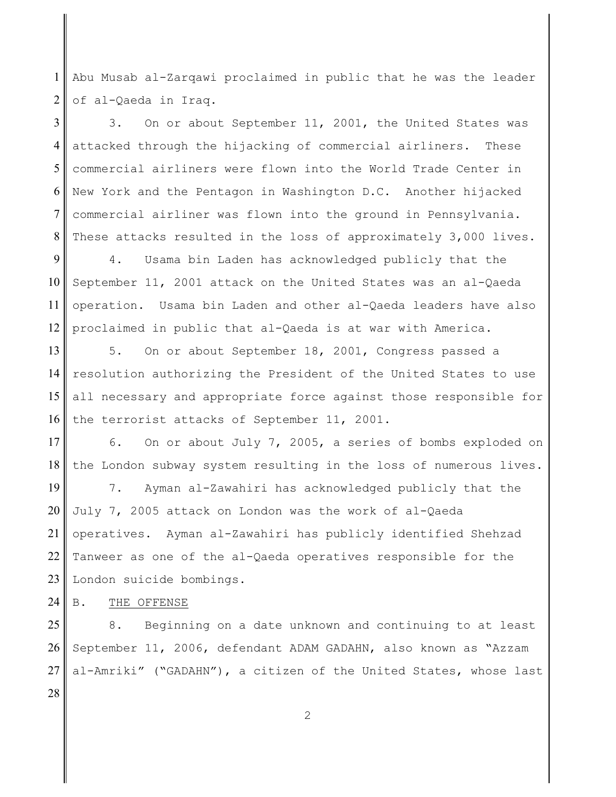1 2 Abu Musab al-Zarqawi proclaimed in public that he was the leader of al-Qaeda in Iraq.

3 4 5 6 7 8 3. On or about September 11, 2001, the United States was attacked through the hijacking of commercial airliners. These commercial airliners were flown into the World Trade Center in New York and the Pentagon in Washington D.C. Another hijacked commercial airliner was flown into the ground in Pennsylvania. These attacks resulted in the loss of approximately 3,000 lives.

9 10 11 12 4. Usama bin Laden has acknowledged publicly that the September 11, 2001 attack on the United States was an al-Qaeda operation. Usama bin Laden and other al-Qaeda leaders have also proclaimed in public that al-Qaeda is at war with America.

13 14 15 16 5. On or about September 18, 2001, Congress passed a resolution authorizing the President of the United States to use all necessary and appropriate force against those responsible for the terrorist attacks of September 11, 2001.

17 18 6. On or about July 7, 2005, a series of bombs exploded on the London subway system resulting in the loss of numerous lives.

19 20 21 22 23 7. Ayman al-Zawahiri has acknowledged publicly that the July 7, 2005 attack on London was the work of al-Qaeda operatives. Ayman al-Zawahiri has publicly identified Shehzad Tanweer as one of the al-Qaeda operatives responsible for the London suicide bombings.

24 B. THE OFFENSE

25 26 27 8. Beginning on a date unknown and continuing to at least September 11, 2006, defendant ADAM GADAHN, also known as "Azzam al-Amriki" ("GADAHN"), a citizen of the United States, whose last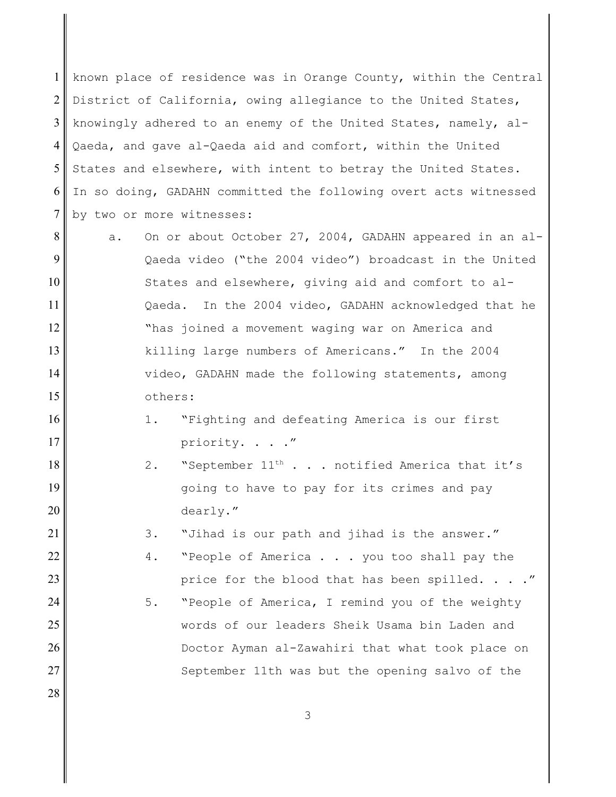1 2 3 4 5 6 7 known place of residence was in Orange County, within the Central District of California, owing allegiance to the United States, knowingly adhered to an enemy of the United States, namely, al- Qaeda, and gave al-Qaeda aid and comfort, within the United States and elsewhere, with intent to betray the United States. In so doing, GADAHN committed the following overt acts witnessed by two or more witnesses:

8 9 12 13 14 15 a. On or about October 27, 2004, GADAHN appeared in an al-Qaeda video ("the 2004 video") broadcast in the United States and elsewhere, giving aid and comfort to al- Qaeda. In the 2004 video, GADAHN acknowledged that he "has joined a movement waging war on America and killing large numbers of Americans." In the 2004 video, GADAHN made the following statements, among others:

10

11

16

17

18

19

20

21

22

23

24

25

26

27

28

- 1. "Fighting and defeating America is our first priority. . . ."
- 2. "September  $11^{\text{th}}$  . . . notified America that it's going to have to pay for its crimes and pay dearly."
	- 3. "Jihad is our path and jihad is the answer."
	- 4. "People of America . . . you too shall pay the price for the blood that has been spilled. . . ."
	- 5. "People of America, I remind you of the weighty words of our leaders Sheik Usama bin Laden and Doctor Ayman al-Zawahiri that what took place on September 11th was but the opening salvo of the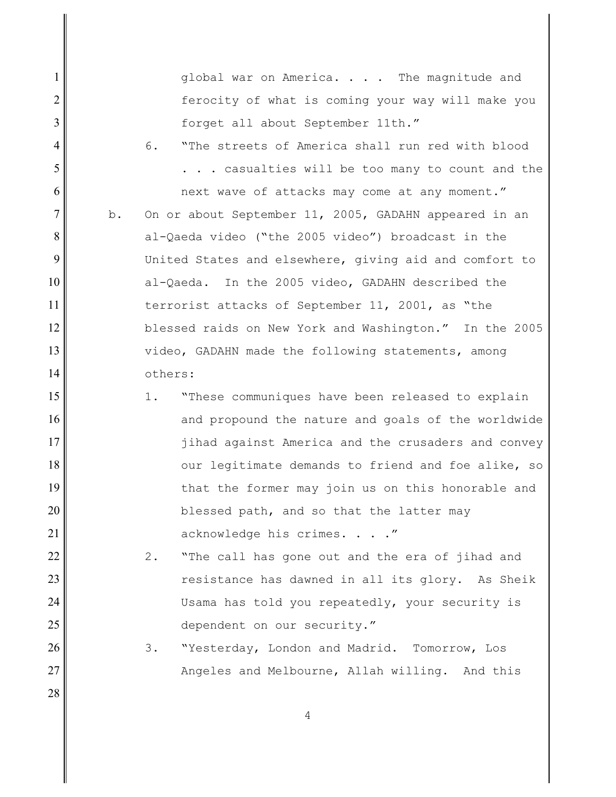global war on America. . . . The magnitude and ferocity of what is coming your way will make you forget all about September 11th."

6. "The streets of America shall run red with blood . . . casualties will be too many to count and the next wave of attacks may come at any moment."

1

2

3

4

5

6

7

8

9

10

11

12

13

14

15

16

17

18

19

20

21

22

23

24

25

26

27

28

b. On or about September 11, 2005, GADAHN appeared in an al-Qaeda video ("the 2005 video") broadcast in the United States and elsewhere, giving aid and comfort to al-Qaeda. In the 2005 video, GADAHN described the terrorist attacks of September 11, 2001, as "the blessed raids on New York and Washington." In the 2005 video, GADAHN made the following statements, among others:

1. "These communiques have been released to explain and propound the nature and goals of the worldwide jihad against America and the crusaders and convey our legitimate demands to friend and foe alike, so that the former may join us on this honorable and blessed path, and so that the latter may acknowledge his crimes. . . ."

2. "The call has gone out and the era of jihad and resistance has dawned in all its glory. As Sheik Usama has told you repeatedly, your security is dependent on our security."

3. "Yesterday, London and Madrid. Tomorrow, Los Angeles and Melbourne, Allah willing. And this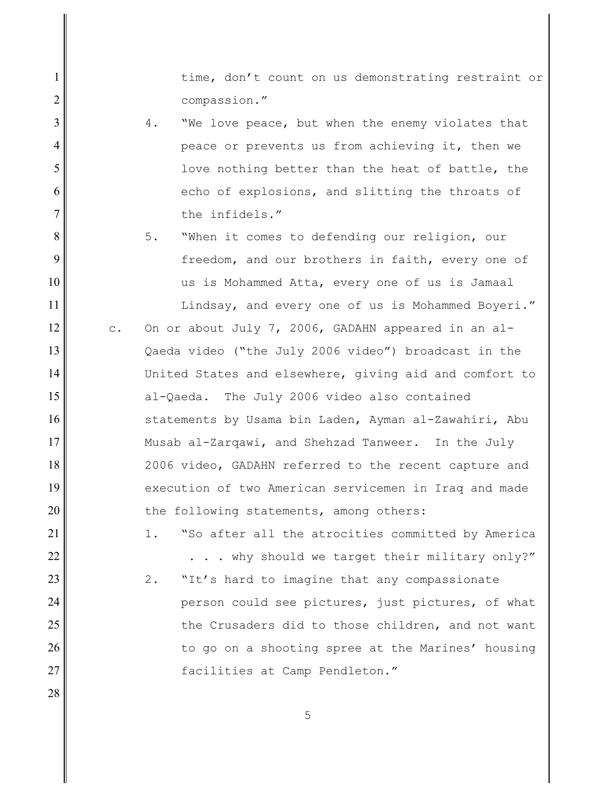time, don't count on us demonstrating restraint or compassion."

4. "We love peace, but when the enemy violates that peace or prevents us from achieving it, then we love nothing better than the heat of battle, the echo of explosions, and slitting the throats of the infidels."

1

2

3

4

5

6

7

8

9

10

11

12

13

14

15

16

17

18

19

20

21

22

23

24

25

26

27

28

5. When it comes to defending our religion, our freedom, and our brothers in faith, every one of us is Mohammed Atta, every one of us is Jamaal

Lindsay, and every one of us is Mohammed Boyeri."

- c. On or about July 7, 2006, GADAHN appeared in an al-Qaeda video ("the July 2006 video") broadcast in the United States and elsewhere, giving aid and comfort to al-Qaeda. The July 2006 video also contained statements by Usama bin Laden, Ayman al-Zawahiri, Abu Musab al-Zarqawi, and Shehzad Tanweer. In the July 2006 video, GADAHN referred to the recent capture and execution of two American servicemen in Iraq and made the following statements, among others:
	- 1. "So after all the atrocities committed by America . . . why should we target their military only?"
	- 2. "It's hard to imagine that any compassionate person could see pictures, just pictures, of what the Crusaders did to those children, and not want to go on a shooting spree at the Marines' housing facilities at Camp Pendleton."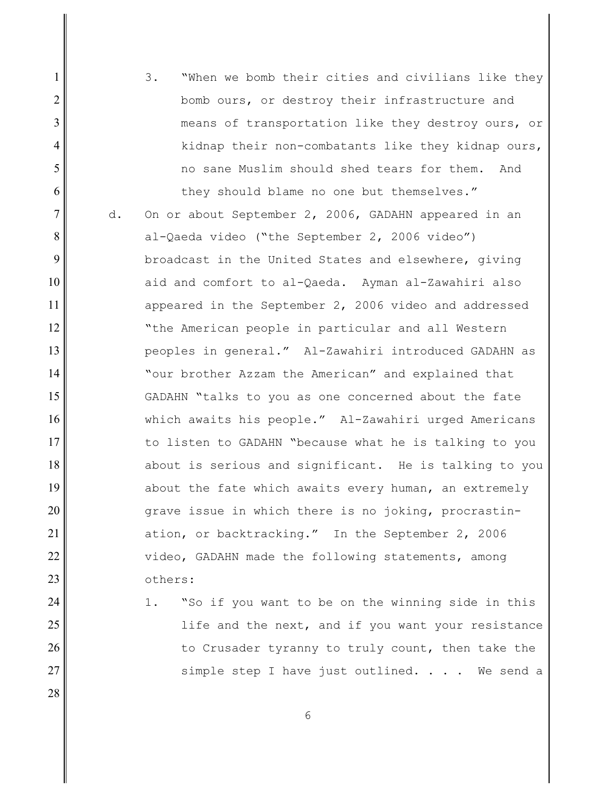3. "When we bomb their cities and civilians like they bomb ours, or destroy their infrastructure and means of transportation like they destroy ours, or kidnap their non-combatants like they kidnap ours, no sane Muslim should shed tears for them. And they should blame no one but themselves."

1

2

3

4

5

6

7

8

9

10

11

12

13

14

15

16

17

18

19

20

21

22

23

24

25

26

27

28

d. On or about September 2, 2006, GADAHN appeared in an al-Qaeda video ("the September 2, 2006 video") broadcast in the United States and elsewhere, giving aid and comfort to al-Qaeda. Ayman al-Zawahiri also appeared in the September 2, 2006 video and addressed "the American people in particular and all Western peoples in general." Al-Zawahiri introduced GADAHN as "our brother Azzam the American" and explained that GADAHN "talks to you as one concerned about the fate which awaits his people." Al-Zawahiri urged Americans to listen to GADAHN "because what he is talking to you about is serious and significant. He is talking to you about the fate which awaits every human, an extremely grave issue in which there is no joking, procrastin ation, or backtracking." In the September 2, 2006 video, GADAHN made the following statements, among others:

1. "So if you want to be on the winning side in this life and the next, and if you want your resistance to Crusader tyranny to truly count, then take the simple step I have just outlined.  $\ldots$  We send a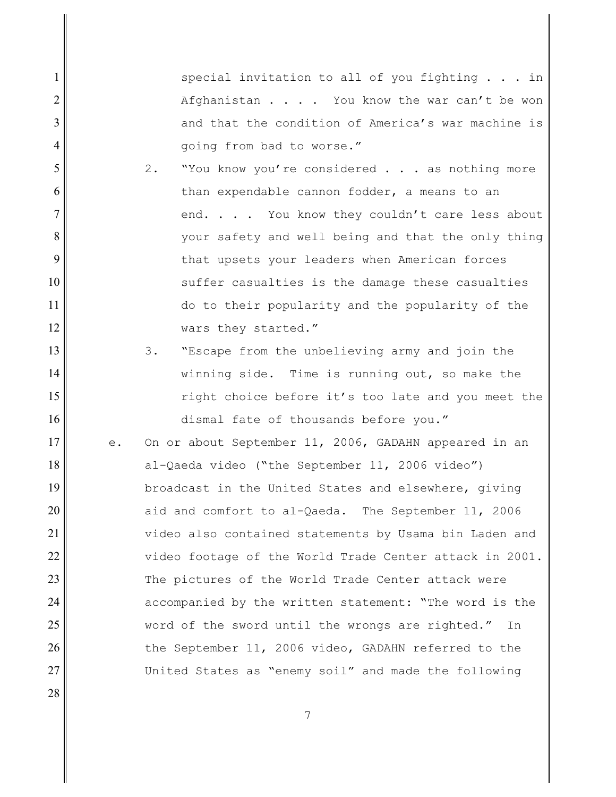special invitation to all of you fighting  $\ldots$  in Afghanistan  $\ldots$  . You know the war can't be won and that the condition of America's war machine is going from bad to worse."

2. "You know you're considered . . . as nothing more than expendable cannon fodder, a means to an end. . . . You know they couldn't care less about your safety and well being and that the only thing that upsets your leaders when American forces suffer casualties is the damage these casualties do to their popularity and the popularity of the wars they started."

1

2

3

4

5

6

7

8

9

10

11

12

13

14

15

16

17

18

19

20

21

22

23

24

25

26

27

28

3. "Escape from the unbelieving army and join the winning side. Time is running out, so make the right choice before it's too late and you meet the dismal fate of thousands before you."

e. On or about September 11, 2006, GADAHN appeared in an al-Qaeda video ("the September 11, 2006 video") broadcast in the United States and elsewhere, giving aid and comfort to al-Qaeda. The September 11, 2006 video also contained statements by Usama bin Laden and video footage of the World Trade Center attack in 2001. The pictures of the World Trade Center attack were accompanied by the written statement: "The word is the word of the sword until the wrongs are righted." In the September 11, 2006 video, GADAHN referred to the United States as "enemy soil" and made the following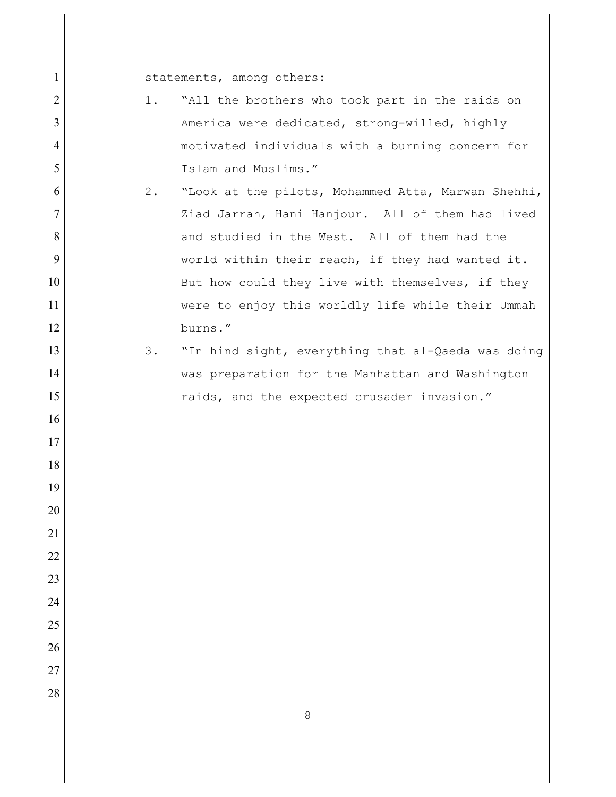statements, among others:

- 1. "All the brothers who took part in the raids on America were dedicated, strong-willed, highly motivated individuals with a burning concern for Islam and Muslims."
- 2. "Look at the pilots, Mohammed Atta, Marwan Shehhi, Ziad Jarrah, Hani Hanjour. All of them had lived and studied in the West. All of them had the world within their reach, if they had wanted it. But how could they live with themselves, if they were to enjoy this worldly life while their Ummah burns."
	- 3. "In hind sight, everything that al-Qaeda was doing was preparation for the Manhattan and Washington raids, and the expected crusader invasion."